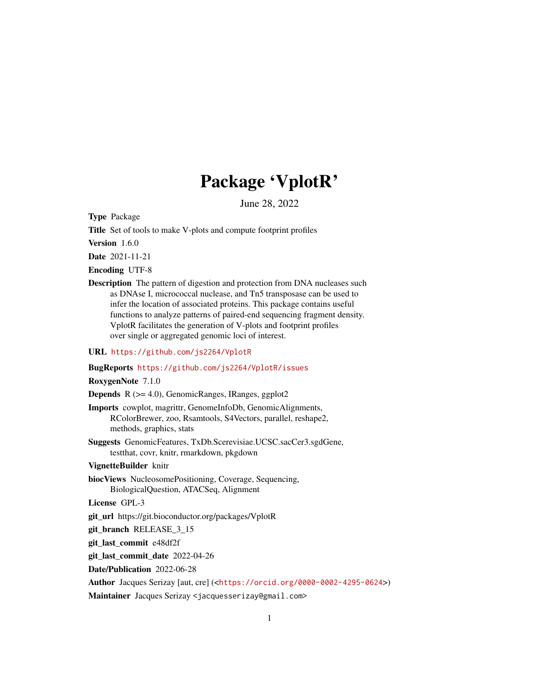# Package 'VplotR'

June 28, 2022

Type Package

Title Set of tools to make V-plots and compute footprint profiles

Version 1.6.0

Date 2021-11-21

Encoding UTF-8

Description The pattern of digestion and protection from DNA nucleases such as DNAse I, micrococcal nuclease, and Tn5 transposase can be used to infer the location of associated proteins. This package contains useful functions to analyze patterns of paired-end sequencing fragment density. VplotR facilitates the generation of V-plots and footprint profiles over single or aggregated genomic loci of interest.

#### URL <https://github.com/js2264/VplotR>

#### BugReports <https://github.com/js2264/VplotR/issues>

RoxygenNote 7.1.0

Depends R (>= 4.0), GenomicRanges, IRanges, ggplot2

- Imports cowplot, magrittr, GenomeInfoDb, GenomicAlignments, RColorBrewer, zoo, Rsamtools, S4Vectors, parallel, reshape2, methods, graphics, stats
- Suggests GenomicFeatures, TxDb.Scerevisiae.UCSC.sacCer3.sgdGene, testthat, covr, knitr, rmarkdown, pkgdown

#### VignetteBuilder knitr

biocViews NucleosomePositioning, Coverage, Sequencing, BiologicalQuestion, ATACSeq, Alignment

License GPL-3

git\_url https://git.bioconductor.org/packages/VplotR

git\_branch RELEASE\_3\_15

git\_last\_commit e48df2f

git\_last\_commit\_date 2022-04-26

Date/Publication 2022-06-28

Author Jacques Serizay [aut, cre] (<<https://orcid.org/0000-0002-4295-0624>>)

Maintainer Jacques Serizay <jacquesserizay@gmail.com>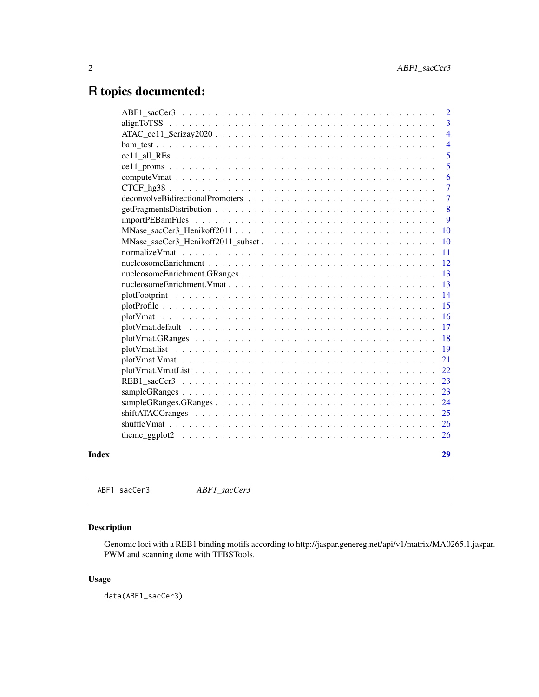# <span id="page-1-0"></span>R topics documented:

|                  | $\overline{2}$ |
|------------------|----------------|
|                  | 3              |
|                  | $\overline{4}$ |
|                  | $\overline{4}$ |
|                  | 5              |
|                  | 5              |
|                  | 6              |
|                  | $\overline{7}$ |
|                  | $\overline{7}$ |
|                  | 8              |
| importPEBamFiles | 9              |
|                  | <b>10</b>      |
|                  | <b>10</b>      |
|                  | <sup>11</sup>  |
|                  | 12             |
|                  | 13             |
|                  | 13             |
|                  | 14             |
|                  | 15             |
|                  | <sup>16</sup>  |
|                  | 17             |
|                  | 18             |
|                  | 19             |
|                  | 21             |
|                  | 22             |
|                  | 23             |
|                  | 23             |
|                  | 24             |
|                  | 25             |
|                  |                |
|                  |                |
|                  | 29             |
|                  |                |

ABF1\_sacCer3 *ABF1\_sacCer3*

# Description

Genomic loci with a REB1 binding motifs according to http://jaspar.genereg.net/api/v1/matrix/MA0265.1.jaspar. PWM and scanning done with TFBSTools.

# Usage

data(ABF1\_sacCer3)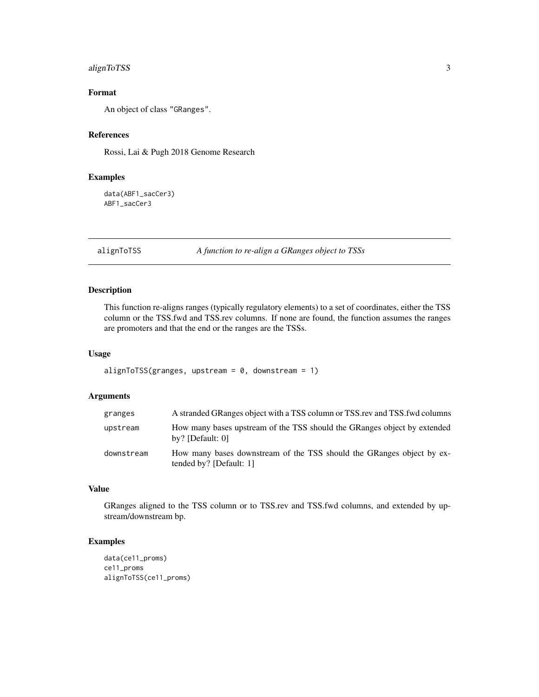# <span id="page-2-0"></span>alignToTSS 3

# Format

An object of class "GRanges".

# References

Rossi, Lai & Pugh 2018 Genome Research

#### Examples

data(ABF1\_sacCer3) ABF1\_sacCer3

alignToTSS *A function to re-align a GRanges object to TSSs*

# Description

This function re-aligns ranges (typically regulatory elements) to a set of coordinates, either the TSS column or the TSS.fwd and TSS.rev columns. If none are found, the function assumes the ranges are promoters and that the end or the ranges are the TSSs.

# Usage

```
alignToTSS(granges, upstream = 0, downstream = 1)
```
# Arguments

| granges    | A stranded GRanges object with a TSS column or TSS rev and TSS fwd columns                       |
|------------|--------------------------------------------------------------------------------------------------|
| upstream   | How many bases upstream of the TSS should the GRanges object by extended<br>by? [Default: $0$ ]  |
| downstream | How many bases downstream of the TSS should the GRanges object by ex-<br>tended by? [Default: 1] |

# Value

GRanges aligned to the TSS column or to TSS.rev and TSS.fwd columns, and extended by upstream/downstream bp.

# Examples

```
data(ce11_proms)
ce11_proms
alignToTSS(ce11_proms)
```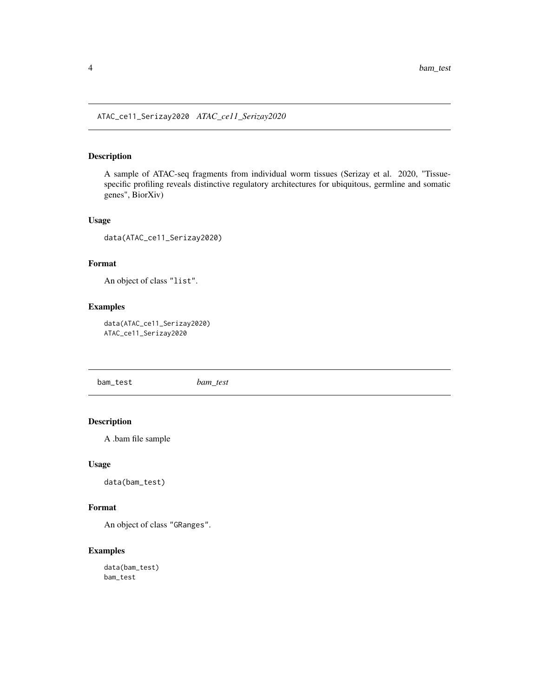<span id="page-3-0"></span>ATAC\_ce11\_Serizay2020 *ATAC\_ce11\_Serizay2020*

# Description

A sample of ATAC-seq fragments from individual worm tissues (Serizay et al. 2020, "Tissuespecific profiling reveals distinctive regulatory architectures for ubiquitous, germline and somatic genes", BiorXiv)

#### Usage

data(ATAC\_ce11\_Serizay2020)

#### Format

An object of class "list".

# Examples

data(ATAC\_ce11\_Serizay2020) ATAC\_ce11\_Serizay2020

bam\_test *bam\_test*

# Description

A .bam file sample

#### Usage

data(bam\_test)

# Format

An object of class "GRanges".

# Examples

data(bam\_test) bam\_test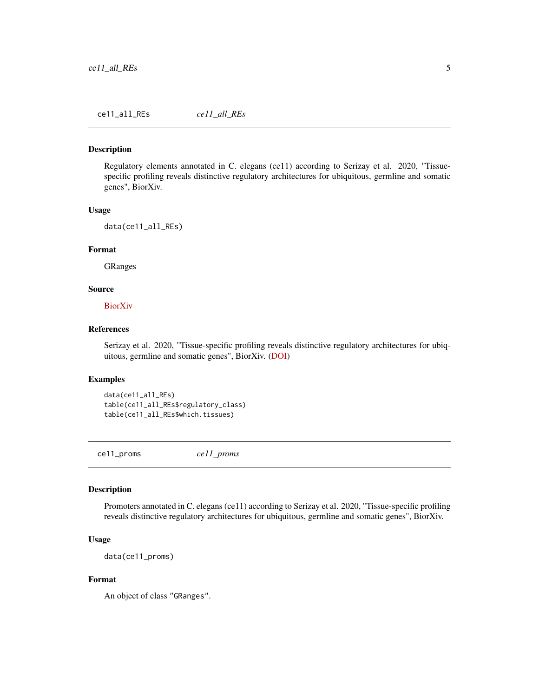# <span id="page-4-0"></span>Description

Regulatory elements annotated in C. elegans (ce11) according to Serizay et al. 2020, "Tissuespecific profiling reveals distinctive regulatory architectures for ubiquitous, germline and somatic genes", BiorXiv.

#### Usage

data(ce11\_all\_REs)

#### Format

GRanges

#### Source

[BiorXiv](https://doi.org/10.1101/2020.02.20.958579)

#### References

Serizay et al. 2020, "Tissue-specific profiling reveals distinctive regulatory architectures for ubiquitous, germline and somatic genes", BiorXiv. [\(DOI\)](https://doi.org/10.1101/2020.02.20.958579)

#### Examples

```
data(ce11_all_REs)
table(ce11_all_REs$regulatory_class)
table(ce11_all_REs$which.tissues)
```
ce11\_proms *ce11\_proms*

#### Description

Promoters annotated in C. elegans (ce11) according to Serizay et al. 2020, "Tissue-specific profiling reveals distinctive regulatory architectures for ubiquitous, germline and somatic genes", BiorXiv.

#### Usage

data(ce11\_proms)

#### Format

An object of class "GRanges".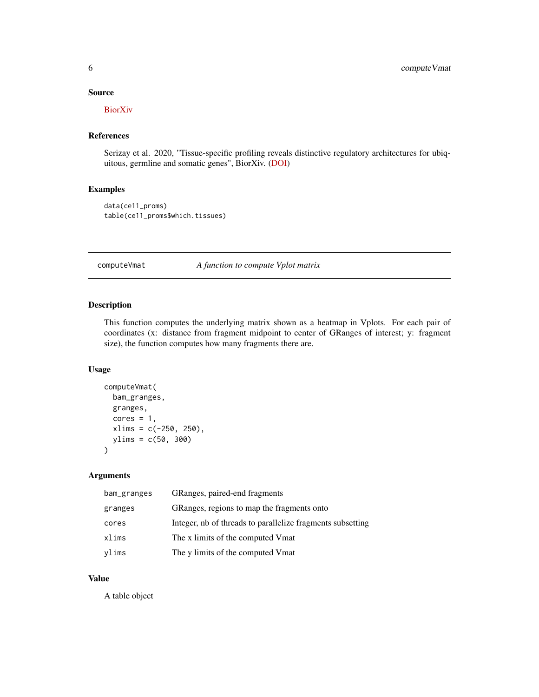#### <span id="page-5-0"></span>Source

**[BiorXiv](https://doi.org/10.1101/2020.02.20.958579)** 

# References

Serizay et al. 2020, "Tissue-specific profiling reveals distinctive regulatory architectures for ubiquitous, germline and somatic genes", BiorXiv. [\(DOI\)](https://doi.org/10.1101/2020.02.20.958579)

#### Examples

data(ce11\_proms) table(ce11\_proms\$which.tissues)

computeVmat *A function to compute Vplot matrix*

# Description

This function computes the underlying matrix shown as a heatmap in Vplots. For each pair of coordinates (x: distance from fragment midpoint to center of GRanges of interest; y: fragment size), the function computes how many fragments there are.

#### Usage

```
computeVmat(
  bam_granges,
  granges,
  cores = 1,xlims = c(-250, 250),
  ylims = c(50, 300)
\mathcal{E}
```
#### Arguments

| bam_granges | GRanges, paired-end fragments                              |
|-------------|------------------------------------------------------------|
| granges     | GRanges, regions to map the fragments onto                 |
| cores       | Integer, nb of threads to parallelize fragments subsetting |
| xlims       | The x limits of the computed Vmat                          |
| ylims       | The y limits of the computed Vmat                          |

#### Value

A table object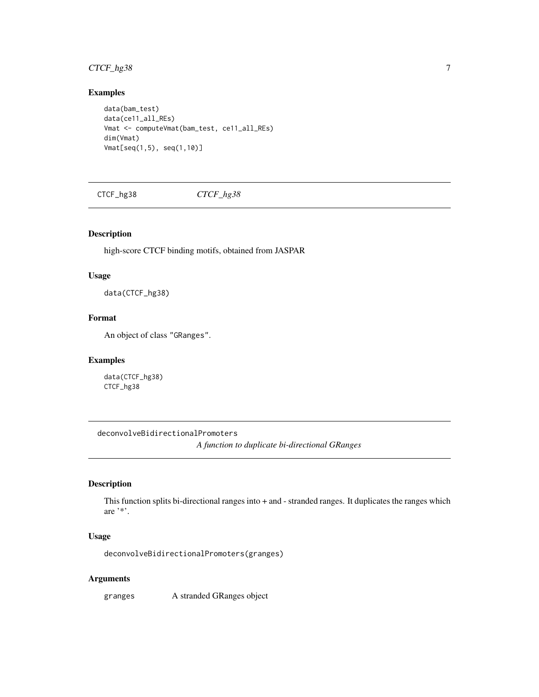# <span id="page-6-0"></span>CTCF\_hg38 7

# Examples

```
data(bam_test)
data(ce11_all_REs)
Vmat <- computeVmat(bam_test, ce11_all_REs)
dim(Vmat)
Vmat[seq(1,5), seq(1,10)]
```
CTCF\_hg38 *CTCF\_hg38*

#### Description

high-score CTCF binding motifs, obtained from JASPAR

#### Usage

data(CTCF\_hg38)

#### Format

An object of class "GRanges".

#### Examples

data(CTCF\_hg38) CTCF\_hg38

deconvolveBidirectionalPromoters *A function to duplicate bi-directional GRanges*

# Description

This function splits bi-directional ranges into + and - stranded ranges. It duplicates the ranges which are '\*'.

#### Usage

deconvolveBidirectionalPromoters(granges)

#### Arguments

granges A stranded GRanges object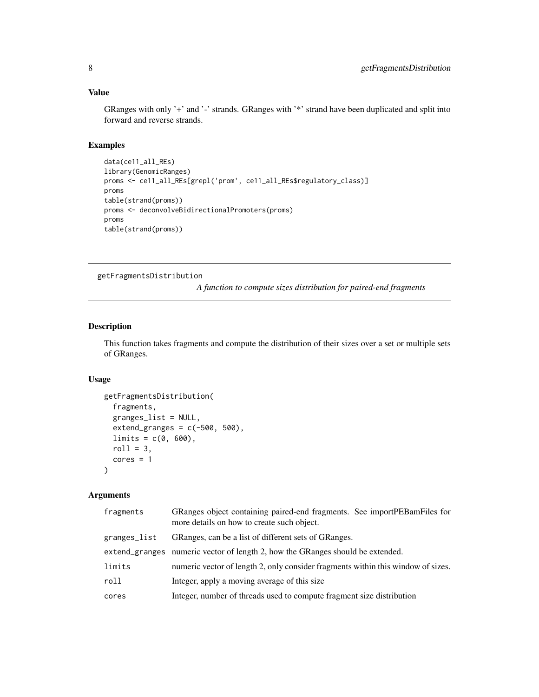#### <span id="page-7-0"></span>Value

GRanges with only '+' and '-' strands. GRanges with '\*' strand have been duplicated and split into forward and reverse strands.

# Examples

```
data(ce11_all_REs)
library(GenomicRanges)
proms <- ce11_all_REs[grepl('prom', ce11_all_REs$regulatory_class)]
proms
table(strand(proms))
proms <- deconvolveBidirectionalPromoters(proms)
proms
table(strand(proms))
```
getFragmentsDistribution

*A function to compute sizes distribution for paired-end fragments*

#### Description

This function takes fragments and compute the distribution of their sizes over a set or multiple sets of GRanges.

#### Usage

```
getFragmentsDistribution(
  fragments,
  granges_list = NULL,
  extend_granges = c(-500, 500),
 limits = c(0, 600),
 roll = 3,
  cores = 1)
```

| fragments    | GRanges object containing paired-end fragments. See importPEBamFiles for<br>more details on how to create such object. |
|--------------|------------------------------------------------------------------------------------------------------------------------|
| granges_list | GRanges, can be a list of different sets of GRanges.                                                                   |
|              | extend granges numeric vector of length 2, how the GRanges should be extended.                                         |
| limits       | numeric vector of length 2, only consider fragments within this window of sizes.                                       |
| roll         | Integer, apply a moving average of this size.                                                                          |
| cores        | Integer, number of threads used to compute fragment size distribution                                                  |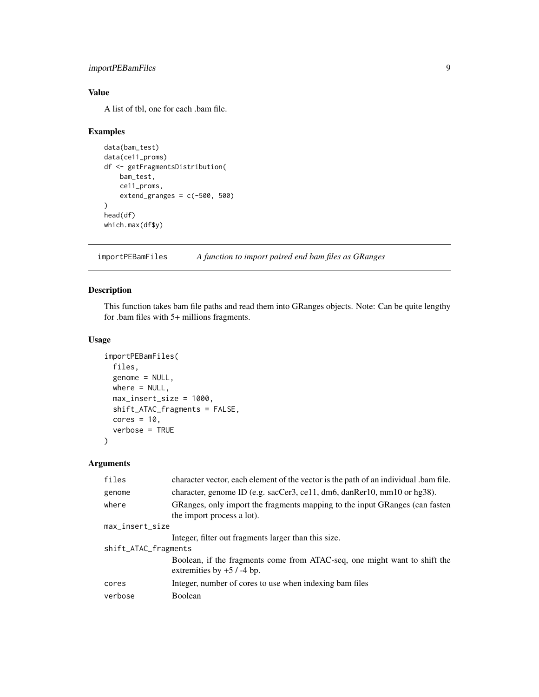# <span id="page-8-0"></span>importPEBamFiles 9

# Value

A list of tbl, one for each .bam file.

# Examples

```
data(bam_test)
data(ce11_proms)
df <- getFragmentsDistribution(
   bam_test,
   ce11_proms,
   extend_granges = c(-500, 500))
head(df)
which.max(df$y)
```
importPEBamFiles *A function to import paired end bam files as GRanges*

# Description

This function takes bam file paths and read them into GRanges objects. Note: Can be quite lengthy for .bam files with 5+ millions fragments.

# Usage

```
importPEBamFiles(
 files,
 genome = NULL,
 where = NULL,
 max_insert_size = 1000,
  shift_ATAC_fragments = FALSE,
 cores = 10,
  verbose = TRUE
)
```

| files                | character vector, each element of the vector is the path of an individual bam file.                       |  |
|----------------------|-----------------------------------------------------------------------------------------------------------|--|
| genome               | character, genome ID (e.g. sacCer3, ce11, dm6, danRer10, mm10 or hg38).                                   |  |
| where                | GRanges, only import the fragments mapping to the input GRanges (can fasten<br>the import process a lot). |  |
| max_insert_size      |                                                                                                           |  |
|                      | Integer, filter out fragments larger than this size.                                                      |  |
| shift_ATAC_fragments |                                                                                                           |  |
|                      | Boolean, if the fragments come from ATAC-seq, one might want to shift the<br>extremities by $+5$ / -4 bp. |  |
| cores                | Integer, number of cores to use when indexing bam files                                                   |  |
| verbose              | Boolean                                                                                                   |  |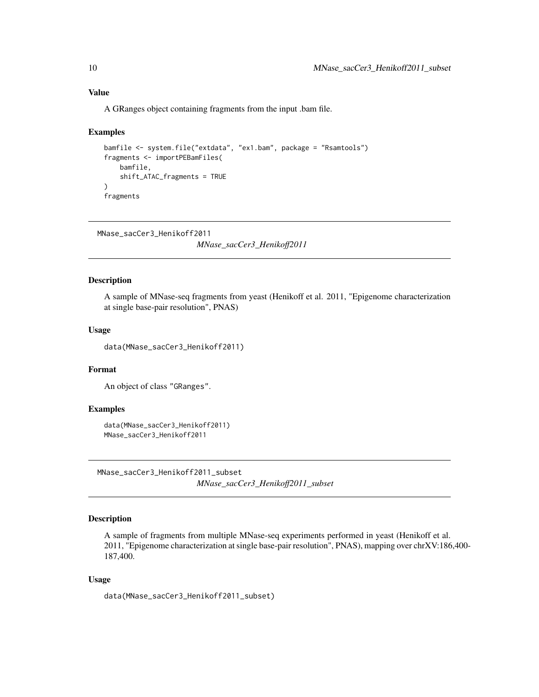#### Value

A GRanges object containing fragments from the input .bam file.

#### Examples

```
bamfile <- system.file("extdata", "ex1.bam", package = "Rsamtools")
fragments <- importPEBamFiles(
   bamfile,
   shift_ATAC_fragments = TRUE
\lambdafragments
```

```
MNase_sacCer3_Henikoff2011
```
*MNase\_sacCer3\_Henikoff2011*

# Description

A sample of MNase-seq fragments from yeast (Henikoff et al. 2011, "Epigenome characterization at single base-pair resolution", PNAS)

#### Usage

data(MNase\_sacCer3\_Henikoff2011)

# Format

An object of class "GRanges".

#### Examples

```
data(MNase_sacCer3_Henikoff2011)
MNase_sacCer3_Henikoff2011
```
MNase\_sacCer3\_Henikoff2011\_subset *MNase\_sacCer3\_Henikoff2011\_subset*

# Description

A sample of fragments from multiple MNase-seq experiments performed in yeast (Henikoff et al. 2011, "Epigenome characterization at single base-pair resolution", PNAS), mapping over chrXV:186,400- 187,400.

#### Usage

data(MNase\_sacCer3\_Henikoff2011\_subset)

<span id="page-9-0"></span>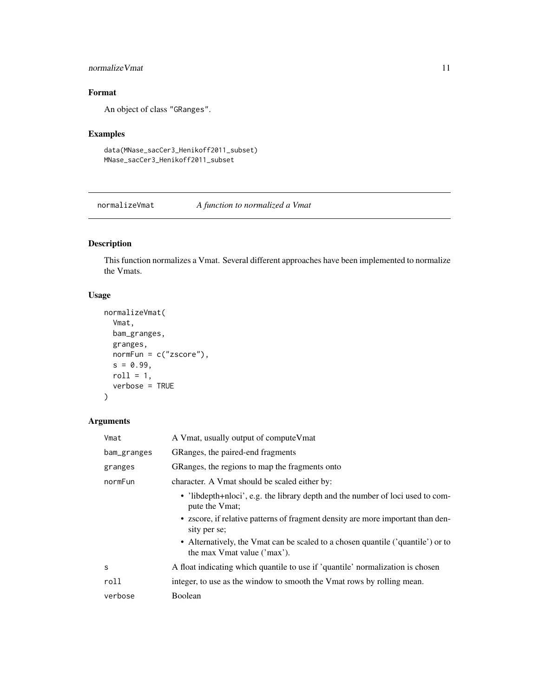# <span id="page-10-0"></span>normalizeVmat 11

# Format

An object of class "GRanges".

# Examples

```
data(MNase_sacCer3_Henikoff2011_subset)
MNase_sacCer3_Henikoff2011_subset
```
normalizeVmat *A function to normalized a Vmat*

# Description

This function normalizes a Vmat. Several different approaches have been implemented to normalize the Vmats.

#### Usage

```
normalizeVmat(
 Vmat,
 bam_granges,
 granges,
 normFun = c("zscore"),
 s = 0.99,
 roll = 1,
  verbose = TRUE
)
```

| Vmat        | A Vmat, usually output of compute Vmat                                                                         |  |
|-------------|----------------------------------------------------------------------------------------------------------------|--|
| bam_granges | GRanges, the paired-end fragments                                                                              |  |
| granges     | GRanges, the regions to map the fragments onto                                                                 |  |
| normFun     | character. A Vmat should be scaled either by:                                                                  |  |
|             | • 'libdepth+nloci', e.g. the library depth and the number of loci used to com-<br>pute the Vmat;               |  |
|             | • zscore, if relative patterns of fragment density are more important than den-<br>sity per se;                |  |
|             | • Alternatively, the Vmat can be scaled to a chosen quantile ('quantile') or to<br>the max Vmat value ('max'). |  |
| S           | A float indicating which quantile to use if 'quantile' normalization is chosen                                 |  |
| roll        | integer, to use as the window to smooth the Vmat rows by rolling mean.                                         |  |
| verbose     | Boolean                                                                                                        |  |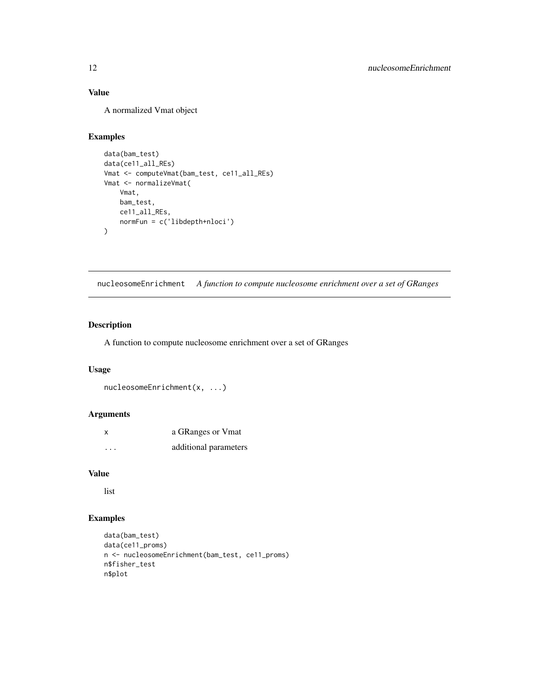# <span id="page-11-0"></span>Value

A normalized Vmat object

#### Examples

```
data(bam_test)
data(ce11_all_REs)
Vmat <- computeVmat(bam_test, ce11_all_REs)
Vmat <- normalizeVmat(
    Vmat,
    bam_test,
    ce11_all_REs,
    normFun = c('libdepth+nloci')
\mathcal{L}
```
nucleosomeEnrichment *A function to compute nucleosome enrichment over a set of GRanges*

#### Description

A function to compute nucleosome enrichment over a set of GRanges

#### Usage

```
nucleosomeEnrichment(x, ...)
```
# Arguments

| X                       | a GRanges or Vmat     |
|-------------------------|-----------------------|
| $\cdot$ $\cdot$ $\cdot$ | additional parameters |

#### Value

list

# Examples

```
data(bam_test)
data(ce11_proms)
n <- nucleosomeEnrichment(bam_test, ce11_proms)
n$fisher_test
n$plot
```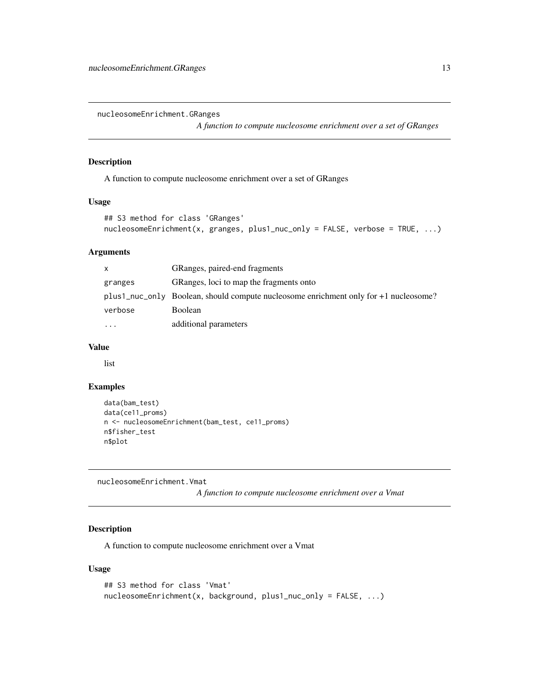<span id="page-12-0"></span>nucleosomeEnrichment.GRanges

*A function to compute nucleosome enrichment over a set of GRanges*

#### Description

A function to compute nucleosome enrichment over a set of GRanges

#### Usage

```
## S3 method for class 'GRanges'
nucleosomeEnrichment(x, granges, plus1_nuc_only = FALSE, verbose = TRUE, ...)
```
# Arguments

| $\mathsf{x}$ | GRanges, paired-end fragments                                                            |
|--------------|------------------------------------------------------------------------------------------|
| granges      | GRanges, loci to map the fragments onto                                                  |
|              | $plus1$ nuc only Boolean, should compute nucleosome enrichment only for $+1$ nucleosome? |
| verbose      | <b>Boolean</b>                                                                           |
| $\cdots$     | additional parameters                                                                    |

#### Value

list

# Examples

```
data(bam_test)
data(ce11_proms)
n <- nucleosomeEnrichment(bam_test, ce11_proms)
n$fisher_test
n$plot
```
nucleosomeEnrichment.Vmat

*A function to compute nucleosome enrichment over a Vmat*

#### Description

A function to compute nucleosome enrichment over a Vmat

```
## S3 method for class 'Vmat'
nucleosomeEnrichment(x, background, plus1_nuc_only = FALSE, ...)
```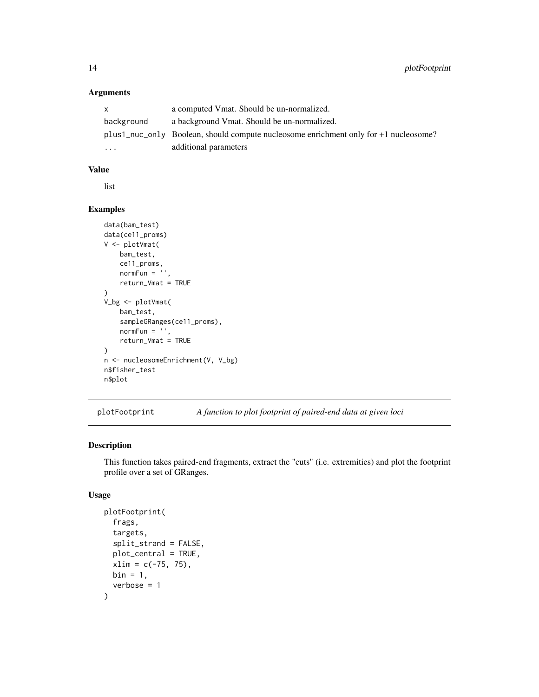# Arguments

| X.         | a computed Vmat. Should be un-normalized.                                                |
|------------|------------------------------------------------------------------------------------------|
| background | a background Vmat. Should be un-normalized.                                              |
|            | $plus1$ nuc only Boolean, should compute nucleosome enrichment only for $+1$ nucleosome? |
| $\ddotsc$  | additional parameters                                                                    |

# Value

list

# Examples

```
data(bam_test)
data(ce11_proms)
V <- plotVmat(
   bam_test,
   ce11_proms,
   normFun = '',return_Vmat = TRUE
)
V_bg <- plotVmat(
   bam_test,
   sampleGRanges(ce11_proms),
   normFun = '',
   return_Vmat = TRUE
)
n <- nucleosomeEnrichment(V, V_bg)
n$fisher_test
n$plot
```
plotFootprint *A function to plot footprint of paired-end data at given loci*

# Description

This function takes paired-end fragments, extract the "cuts" (i.e. extremities) and plot the footprint profile over a set of GRanges.

```
plotFootprint(
  frags,
  targets,
  split_strand = FALSE,
 plot_central = TRUE,
  xlim = c(-75, 75),
 bin = 1,
  verbose = 1)
```
<span id="page-13-0"></span>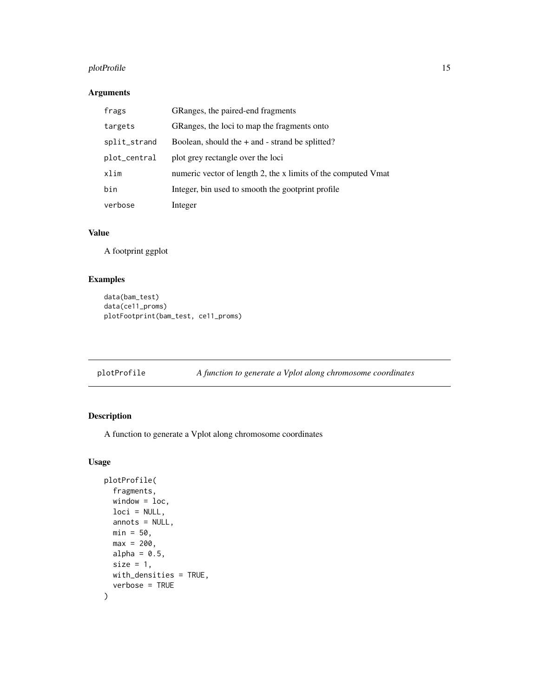# <span id="page-14-0"></span>plotProfile 15

# Arguments

| frags        | GRanges, the paired-end fragments                             |
|--------------|---------------------------------------------------------------|
| targets      | GRanges, the loci to map the fragments onto                   |
| split_strand | Boolean, should the $+$ and $-$ strand be splitted?           |
| plot_central | plot grey rectangle over the loci                             |
| xlim         | numeric vector of length 2, the x limits of the computed Vmat |
| bin          | Integer, bin used to smooth the gootprint profile             |
| verbose      | Integer                                                       |

# Value

A footprint ggplot

# Examples

```
data(bam_test)
data(ce11_proms)
plotFootprint(bam_test, ce11_proms)
```
plotProfile *A function to generate a Vplot along chromosome coordinates*

# Description

A function to generate a Vplot along chromosome coordinates

```
plotProfile(
  fragments,
 window = loc,loci = NULL,
  annots = NULL,
 min = 50,
 max = 200,
 alpha = 0.5,
  size = 1,
 with_densities = TRUE,
  verbose = TRUE
\mathcal{E}
```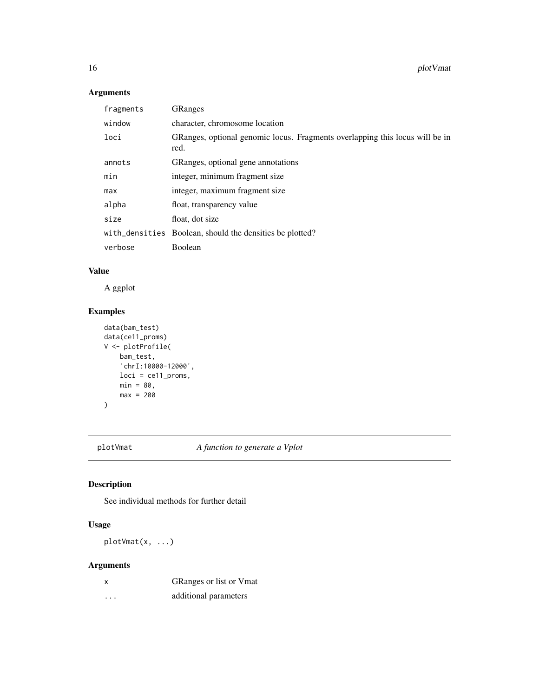# Arguments

| fragments | <b>GRanges</b>                                                                       |
|-----------|--------------------------------------------------------------------------------------|
| window    | character, chromosome location                                                       |
| loci      | GRanges, optional genomic locus. Fragments overlapping this locus will be in<br>red. |
| annots    | GRanges, optional gene annotations                                                   |
| min       | integer, minimum fragment size.                                                      |
| max       | integer, maximum fragment size                                                       |
| alpha     | float, transparency value                                                            |
| size      | float, dot size                                                                      |
|           | with densities Boolean, should the densities be plotted?                             |
| verbose   | Boolean                                                                              |
|           |                                                                                      |

# Value

A ggplot

# Examples

```
data(bam_test)
data(ce11_proms)
V <- plotProfile(
   bam_test,
    'chrI:10000-12000',
   loci = ce11_proms,
   min = 80,
   max = 200)
```
plotVmat *A function to generate a Vplot*

# Description

See individual methods for further detail

# Usage

plotVmat(x, ...)

| x        | GRanges or list or Vmat |
|----------|-------------------------|
| $\cdots$ | additional parameters   |

<span id="page-15-0"></span>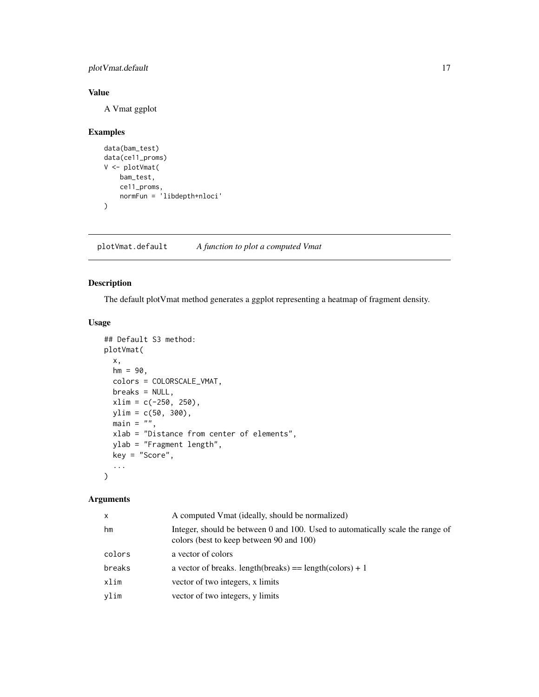<span id="page-16-0"></span>plotVmat.default 17

# Value

A Vmat ggplot

#### Examples

```
data(bam_test)
data(ce11_proms)
V <- plotVmat(
    bam_test,
    ce11_proms,
    normFun = 'libdepth+nloci'
)
```
plotVmat.default *A function to plot a computed Vmat*

# Description

The default plotVmat method generates a ggplot representing a heatmap of fragment density.

#### Usage

```
## Default S3 method:
plotVmat(
 x,
 hm = 90,colors = COLORSCALE_VMAT,
 breaks = NULL,
 xlim = c(-250, 250),
 ylim = c(50, 300),
 main = "",xlab = "Distance from center of elements",
 ylab = "Fragment length",
 key = "Score",
  ...
\mathcal{L}
```

| x      | A computed Vmat (ideally, should be normalized)                                                                            |
|--------|----------------------------------------------------------------------------------------------------------------------------|
| hm     | Integer, should be between 0 and 100. Used to automatically scale the range of<br>colors (best to keep between 90 and 100) |
| colors | a vector of colors                                                                                                         |
| breaks | a vector of breaks. length(breaks) = $length(colors) + 1$                                                                  |
| xlim   | vector of two integers, x limits                                                                                           |
| vlim   | vector of two integers, y limits                                                                                           |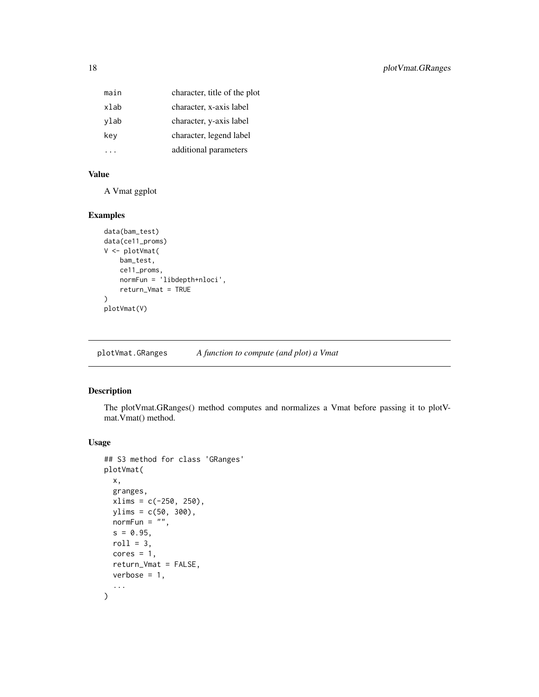<span id="page-17-0"></span>

| main | character, title of the plot |
|------|------------------------------|
| xlab | character, x-axis label      |
| ylab | character, y-axis label      |
| key  | character, legend label      |
|      | additional parameters        |

# Value

A Vmat ggplot

#### Examples

```
data(bam_test)
data(ce11_proms)
V <- plotVmat(
   bam_test,
   ce11_proms,
   normFun = 'libdepth+nloci',
   return_Vmat = TRUE
)
plotVmat(V)
```
plotVmat.GRanges *A function to compute (and plot) a Vmat*

# Description

The plotVmat.GRanges() method computes and normalizes a Vmat before passing it to plotVmat.Vmat() method.

```
## S3 method for class 'GRanges'
plotVmat(
 x,
  granges,
 xlims = c(-250, 250),
 ylims = c(50, 300),
 normFun = ",
 s = 0.95,roll = 3,
 cores = 1,
  return_Vmat = FALSE,
 verbose = 1,
  ...
\mathcal{L}
```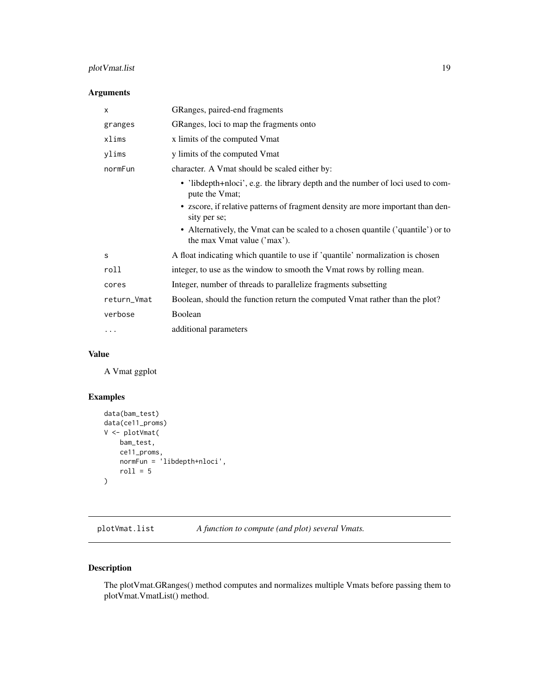# <span id="page-18-0"></span>plotVmat.list 19

# Arguments

| X           | GRanges, paired-end fragments                                                                                  |
|-------------|----------------------------------------------------------------------------------------------------------------|
| granges     | GRanges, loci to map the fragments onto                                                                        |
| xlims       | x limits of the computed Vmat                                                                                  |
| ylims       | y limits of the computed Vmat                                                                                  |
| normFun     | character. A Vmat should be scaled either by:                                                                  |
|             | • 'libdepth+nloci', e.g. the library depth and the number of loci used to com-<br>pute the Vmat;               |
|             | • zscore, if relative patterns of fragment density are more important than den-<br>sity per se;                |
|             | • Alternatively, the Vmat can be scaled to a chosen quantile ('quantile') or to<br>the max Vmat value ('max'). |
| S           | A float indicating which quantile to use if 'quantile' normalization is chosen                                 |
| roll        | integer, to use as the window to smooth the Vmat rows by rolling mean.                                         |
| cores       | Integer, number of threads to parallelize fragments subsetting                                                 |
| return_Vmat | Boolean, should the function return the computed Vmat rather than the plot?                                    |
| verbose     | Boolean                                                                                                        |
| .           | additional parameters                                                                                          |

# Value

A Vmat ggplot

# Examples

```
data(bam_test)
data(ce11_proms)
V <- plotVmat(
    bam_test,
    ce11_proms,
    normFun = 'libdepth+nloci',
    roll = 5\mathcal{L}
```
plotVmat.list *A function to compute (and plot) several Vmats.*

# Description

The plotVmat.GRanges() method computes and normalizes multiple Vmats before passing them to plotVmat.VmatList() method.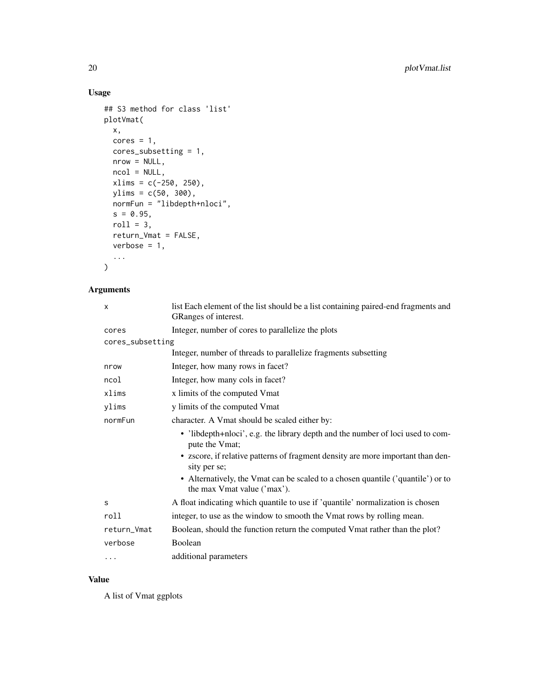# Usage

```
## S3 method for class 'list'
plotVmat(
  x,
  cores = 1,
  cores_subsetting = 1,
  nrow = NULL,ncol = NULL,xlims = c(-250, 250),
  ylims = c(50, 300),normFun = "libdepth+nloci",
  s = 0.95,roll = 3,return_Vmat = FALSE,
  verbose = 1,
  ...
\mathcal{L}
```
# Arguments

| X                | list Each element of the list should be a list containing paired-end fragments and<br>GRanges of interest.     |
|------------------|----------------------------------------------------------------------------------------------------------------|
| cores            | Integer, number of cores to parallelize the plots                                                              |
| cores_subsetting |                                                                                                                |
|                  | Integer, number of threads to parallelize fragments subsetting                                                 |
| nrow             | Integer, how many rows in facet?                                                                               |
| ncol             | Integer, how many cols in facet?                                                                               |
| xlims            | x limits of the computed Vmat                                                                                  |
| ylims            | y limits of the computed Vmat                                                                                  |
| normFun          | character. A Vmat should be scaled either by:                                                                  |
|                  | • 'libdepth+nloci', e.g. the library depth and the number of loci used to com-<br>pute the Vmat;               |
|                  | • zscore, if relative patterns of fragment density are more important than den-<br>sity per se;                |
|                  | • Alternatively, the Vmat can be scaled to a chosen quantile ('quantile') or to<br>the max Vmat value ('max'). |
| S                | A float indicating which quantile to use if 'quantile' normalization is chosen                                 |
| roll             | integer, to use as the window to smooth the Vmat rows by rolling mean.                                         |
| return_Vmat      | Boolean, should the function return the computed Vmat rather than the plot?                                    |
| verbose          | Boolean                                                                                                        |
| $\cdots$         | additional parameters                                                                                          |

#### Value

A list of Vmat ggplots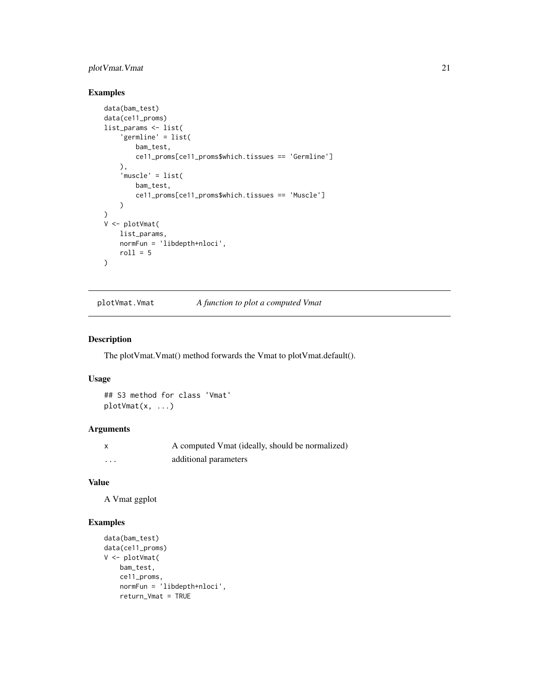# <span id="page-20-0"></span>plotVmat.Vmat 21

# Examples

```
data(bam_test)
data(ce11_proms)
list_params <- list(
    'germline' = list(
        bam_test,
        ce11_proms[ce11_proms$which.tissues == 'Germline']
    ),
    'muscle' = list(
        bam_test,
        ce11_proms[ce11_proms$which.tissues == 'Muscle']
   )
)
V <- plotVmat(
   list_params,
   normFun = 'libdepth+nloci',
   roll = 5)
```
plotVmat.Vmat *A function to plot a computed Vmat*

#### Description

The plotVmat.Vmat() method forwards the Vmat to plotVmat.default().

#### Usage

## S3 method for class 'Vmat' plotVmat(x, ...)

#### Arguments

| x       | A computed Vmat (ideally, should be normalized) |
|---------|-------------------------------------------------|
| $\cdot$ | additional parameters                           |

#### Value

A Vmat ggplot

# Examples

```
data(bam_test)
data(ce11_proms)
V <- plotVmat(
   bam_test,
   ce11_proms,
   normFun = 'libdepth+nloci',
   return_Vmat = TRUE
```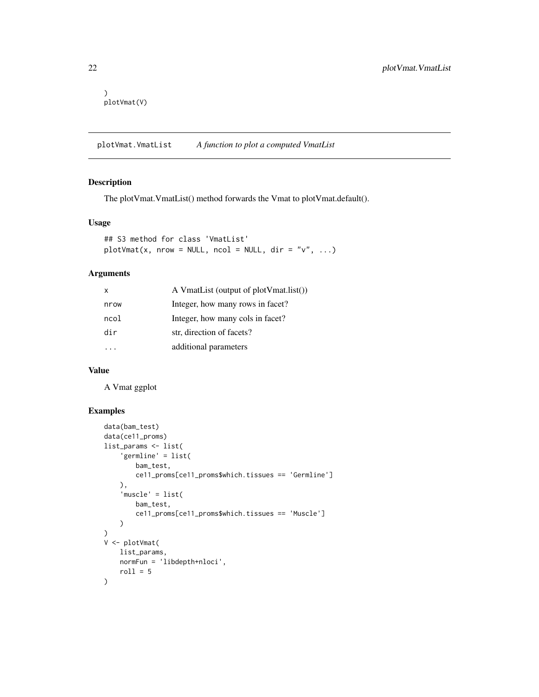```
)
plotVmat(V)
```
plotVmat.VmatList *A function to plot a computed VmatList*

#### Description

The plotVmat.VmatList() method forwards the Vmat to plotVmat.default().

# Usage

```
## S3 method for class 'VmatList'
plotVmat(x, nrow = NULL, ncol = NULL, dir = "v", ...)
```
#### Arguments

| x    | A VmatList (output of plotVmat.list()) |
|------|----------------------------------------|
| nrow | Integer, how many rows in facet?       |
| ncol | Integer, how many cols in facet?       |
| dir  | str, direction of facets?              |
|      | additional parameters                  |

#### Value

A Vmat ggplot

# Examples

```
data(bam_test)
data(ce11_proms)
list_params <- list(
    'germline' = list(
       bam_test,
       ce11_proms[ce11_proms$which.tissues == 'Germline']
   ),
    'muscle' = list(
       bam_test,
        ce11_proms[ce11_proms$which.tissues == 'Muscle']
   )
\lambdaV <- plotVmat(
    list_params,
   normFun = 'libdepth+nloci',
   roll = 5)
```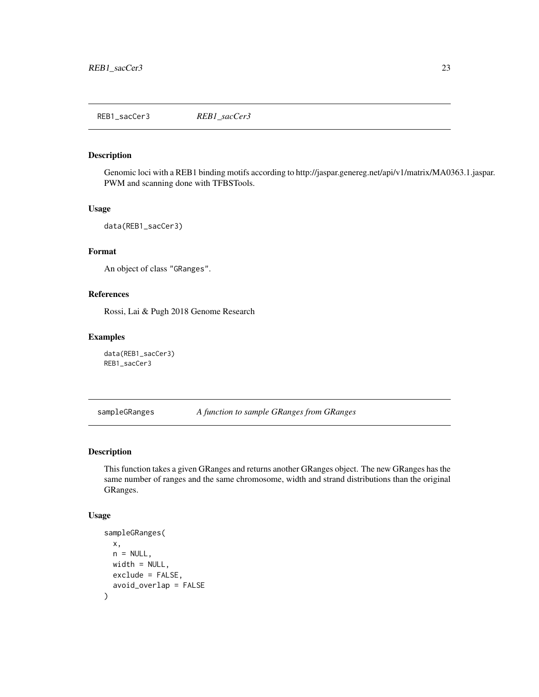<span id="page-22-0"></span>REB1\_sacCer3 *REB1\_sacCer3*

#### Description

Genomic loci with a REB1 binding motifs according to http://jaspar.genereg.net/api/v1/matrix/MA0363.1.jaspar. PWM and scanning done with TFBSTools.

#### Usage

data(REB1\_sacCer3)

#### Format

An object of class "GRanges".

#### References

Rossi, Lai & Pugh 2018 Genome Research

#### Examples

data(REB1\_sacCer3) REB1\_sacCer3

sampleGRanges *A function to sample GRanges from GRanges*

#### Description

This function takes a given GRanges and returns another GRanges object. The new GRanges has the same number of ranges and the same chromosome, width and strand distributions than the original GRanges.

```
sampleGRanges(
 x,
 n = NULL,width = NULL,
 exclude = FALSE,
  avoid_overlap = FALSE
)
```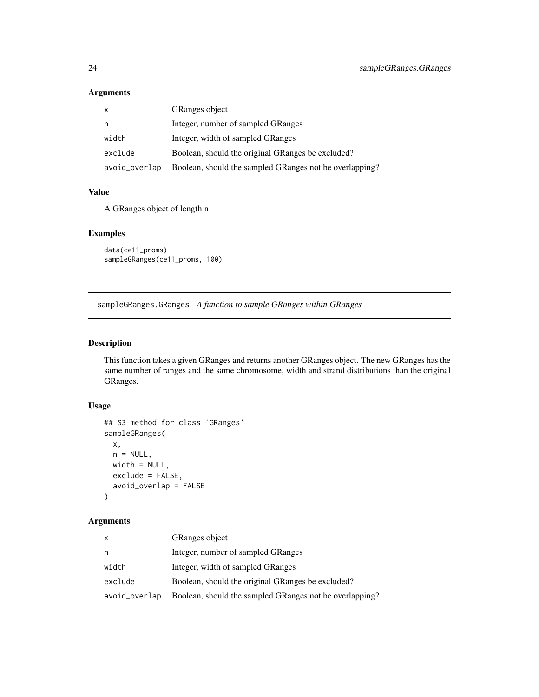# <span id="page-23-0"></span>Arguments

| $\mathsf{x}$  | <b>GRanges</b> object                                   |
|---------------|---------------------------------------------------------|
| n             | Integer, number of sampled GRanges                      |
| width         | Integer, width of sampled GRanges                       |
| exclude       | Boolean, should the original GRanges be excluded?       |
| avoid_overlap | Boolean, should the sampled GRanges not be overlapping? |

# Value

A GRanges object of length n

#### Examples

```
data(ce11_proms)
sampleGRanges(ce11_proms, 100)
```
sampleGRanges.GRanges *A function to sample GRanges within GRanges*

# Description

This function takes a given GRanges and returns another GRanges object. The new GRanges has the same number of ranges and the same chromosome, width and strand distributions than the original GRanges.

#### Usage

```
## S3 method for class 'GRanges'
sampleGRanges(
 x,
 n = NULL,width = NULL,
 exclude = FALSE,
 avoid_overlap = FALSE
\mathcal{L}
```

| X             | <b>GRanges object</b>                                   |
|---------------|---------------------------------------------------------|
| n             | Integer, number of sampled GRanges                      |
| width         | Integer, width of sampled GRanges                       |
| exclude       | Boolean, should the original GRanges be excluded?       |
| avoid_overlap | Boolean, should the sampled GRanges not be overlapping? |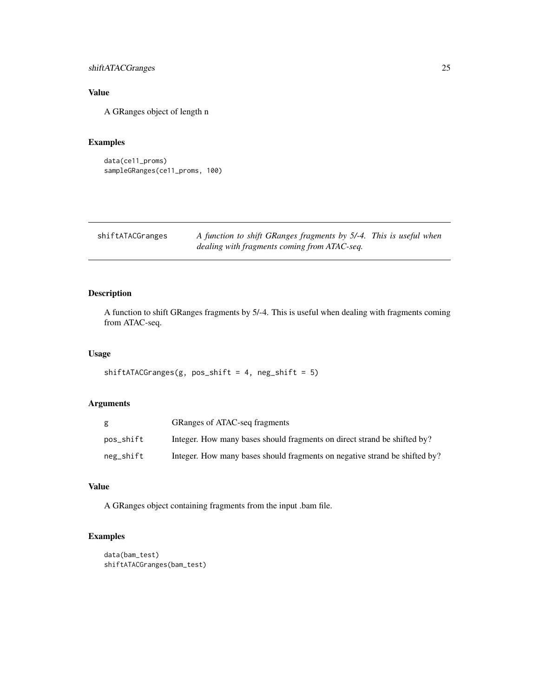# <span id="page-24-0"></span>shiftATACGranges 25

# Value

A GRanges object of length n

#### Examples

```
data(ce11_proms)
sampleGRanges(ce11_proms, 100)
```
shiftATACGranges *A function to shift GRanges fragments by 5/-4. This is useful when dealing with fragments coming from ATAC-seq.*

# Description

A function to shift GRanges fragments by 5/-4. This is useful when dealing with fragments coming from ATAC-seq.

#### Usage

```
shiftATACGranges(g, pos\_shift = 4, neg\_shift = 5)
```
#### Arguments

|           | GRanges of ATAC-seq fragments                                              |
|-----------|----------------------------------------------------------------------------|
| pos_shift | Integer. How many bases should fragments on direct strand be shifted by?   |
| neg_shift | Integer. How many bases should fragments on negative strand be shifted by? |

# Value

A GRanges object containing fragments from the input .bam file.

# Examples

```
data(bam_test)
shiftATACGranges(bam_test)
```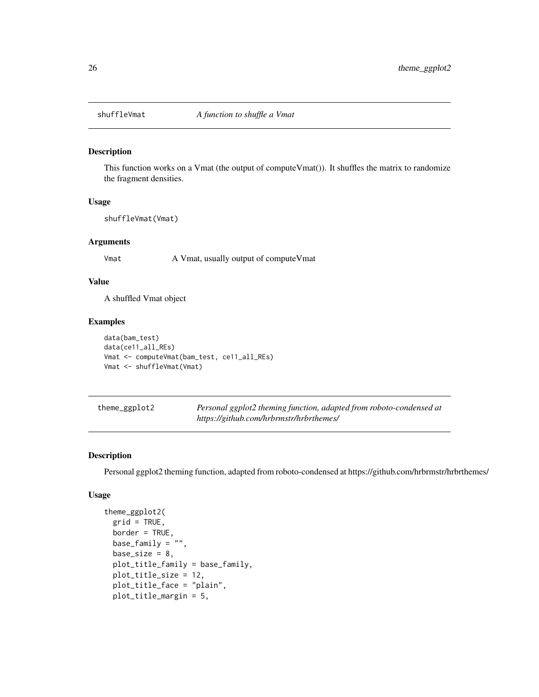<span id="page-25-0"></span>

#### Description

This function works on a Vmat (the output of computeVmat()). It shuffles the matrix to randomize the fragment densities.

#### Usage

shuffleVmat(Vmat)

# Arguments

Vmat A Vmat, usually output of compute Vmat

# Value

A shuffled Vmat object

#### Examples

```
data(bam_test)
data(ce11_all_REs)
Vmat <- computeVmat(bam_test, ce11_all_REs)
Vmat <- shuffleVmat(Vmat)
```
theme\_ggplot2 *Personal ggplot2 theming function, adapted from roboto-condensed at https://github.com/hrbrmstr/hrbrthemes/*

#### Description

Personal ggplot2 theming function, adapted from roboto-condensed at https://github.com/hrbrmstr/hrbrthemes/

```
theme_ggplot2(
 grid = TRUE,border = TRUE,
 base_family = ".
 base_size = 8,
 plot_title_family = base_family,
 plot_title_size = 12,
 plot_title_face = "plain",
 plot_title_margin = 5,
```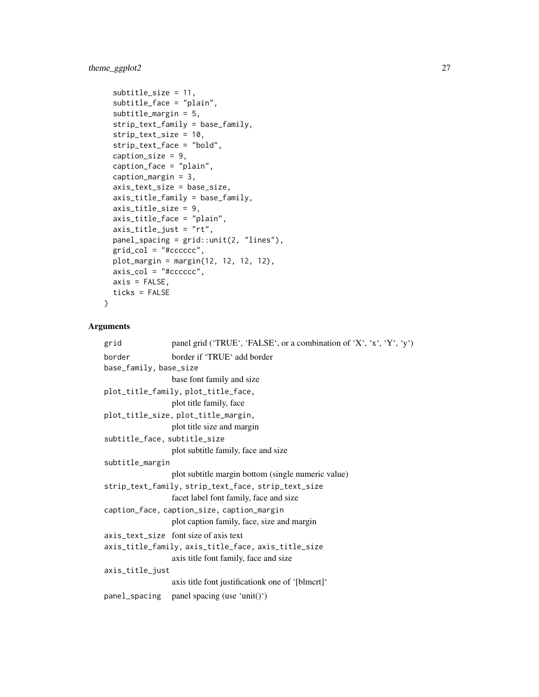# theme\_ggplot2 27

```
subtitle_size = 11,
subtitle_face = "plain",
subtitle_margin = 5,
strip_text_family = base_family,
strip_text_size = 10,
strip_text_face = "bold",
caption_size = 9,
caption_face = "plain",
caption_margin = 3,
axis_text_size = base_size,
axis_title_family = base_family,
axis_title_size = 9,
axis_title_face = "plain",
axis_title_just = "rt",
panel_spacing = grid::unit(2, "lines"),
grid_col = "#cccccc",
plot_margin = margin(12, 12, 12, 12),
axis\_col = "#ccccccc",axis = FALSE,ticks = FALSE
```
# Arguments

)

| grid                                                | panel grid ('TRUE', 'FALSE', or a combination of 'X', 'x', 'Y', 'y') |  |
|-----------------------------------------------------|----------------------------------------------------------------------|--|
| border                                              | border if 'TRUE' add border                                          |  |
| base_family, base_size                              |                                                                      |  |
|                                                     | base font family and size                                            |  |
|                                                     | plot_title_family, plot_title_face,                                  |  |
|                                                     | plot title family, face                                              |  |
|                                                     | plot_title_size, plot_title_margin,                                  |  |
|                                                     | plot title size and margin                                           |  |
| subtitle_face, subtitle_size                        |                                                                      |  |
|                                                     | plot subtitle family, face and size                                  |  |
| subtitle_margin                                     |                                                                      |  |
|                                                     | plot subtitle margin bottom (single numeric value)                   |  |
|                                                     | strip_text_family, strip_text_face, strip_text_size                  |  |
|                                                     | facet label font family, face and size                               |  |
| caption_face, caption_size, caption_margin          |                                                                      |  |
|                                                     | plot caption family, face, size and margin                           |  |
|                                                     | axis_text_size font size of axis text                                |  |
| axis_title_family, axis_title_face, axis_title_size |                                                                      |  |
|                                                     | axis title font family, face and size                                |  |
| axis_title_just                                     |                                                                      |  |
|                                                     | axis title font justification kone of '[blmcrt]'                     |  |
|                                                     | panel_spacing panel spacing (use 'unit()')                           |  |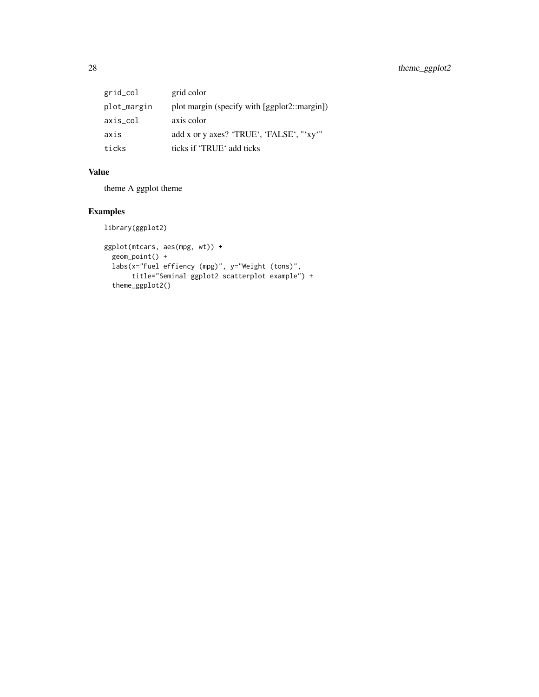| grid_col    | grid color                                   |
|-------------|----------------------------------------------|
| plot_margin | plot margin (specify with [ggplot2::margin]) |
| axis_col    | axis color                                   |
| axis        | add x or y axes? 'TRUE', 'FALSE', "'xy'"     |
| ticks       | ticks if 'TRUE' add ticks                    |

# Value

theme A ggplot theme

# Examples

library(ggplot2)

```
ggplot(mtcars, aes(mpg, wt)) +
 geom_point() +
 labs(x="Fuel effiency (mpg)", y="Weight (tons)",
      title="Seminal ggplot2 scatterplot example") +
 theme_ggplot2()
```